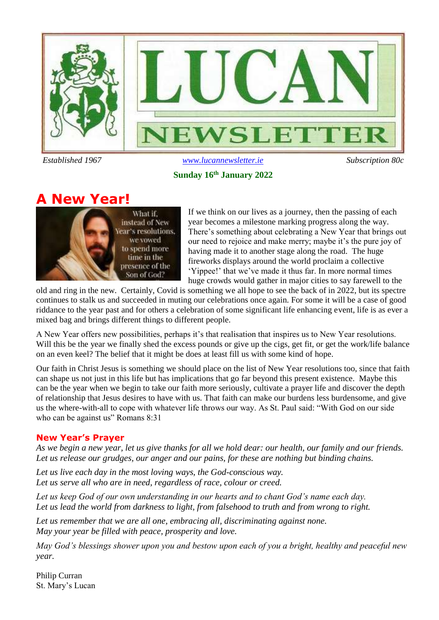

#### *Established 1967 [www.lucannewsletter.ie](http://www.lucannewsletter.ie/) Subscription 80c*

### **Sunday 16th January 2022**

# **A New Year!**



If we think on our lives as a journey, then the passing of each year becomes a milestone marking progress along the way. There's something about celebrating a New Year that brings out our need to rejoice and make merry; maybe it's the pure joy of having made it to another stage along the road. The huge fireworks displays around the world proclaim a collective 'Yippee!' that we've made it thus far. In more normal times huge crowds would gather in major cities to say farewell to the

old and ring in the new. Certainly, Covid is something we all hope to see the back of in 2022, but its spectre continues to stalk us and succeeded in muting our celebrations once again. For some it will be a case of good riddance to the year past and for others a celebration of some significant life enhancing event, life is as ever a mixed bag and brings different things to different people.

A New Year offers new possibilities, perhaps it's that realisation that inspires us to New Year resolutions. Will this be the year we finally shed the excess pounds or give up the cigs, get fit, or get the work/life balance on an even keel? The belief that it might be does at least fill us with some kind of hope.

Our faith in Christ Jesus is something we should place on the list of New Year resolutions too, since that faith can shape us not just in this life but has implications that go far beyond this present existence. Maybe this can be the year when we begin to take our faith more seriously, cultivate a prayer life and discover the depth of relationship that Jesus desires to have with us. That faith can make our burdens less burdensome, and give us the where-with-all to cope with whatever life throws our way. As St. Paul said: "With God on our side who can be against us" Romans 8:31

### **New Year's Prayer**

*As we begin a new year, let us give thanks for all we hold dear: our health, our family and our friends. Let us release our grudges, our anger and our pains, for these are nothing but binding chains.*

*Let us live each day in the most loving ways, the God-conscious way. Let us serve all who are in need, regardless of race, colour or creed.*

*Let us keep God of our own understanding in our hearts and to chant God's name each day. Let us lead the world from darkness to light, from falsehood to truth and from wrong to right.*

*Let us remember that we are all one, embracing all, discriminating against none. May your year be filled with peace, prosperity and love.*

*May God's blessings shower upon you and bestow upon each of you a bright, healthy and peaceful new year.*

Philip Curran St. Mary's Lucan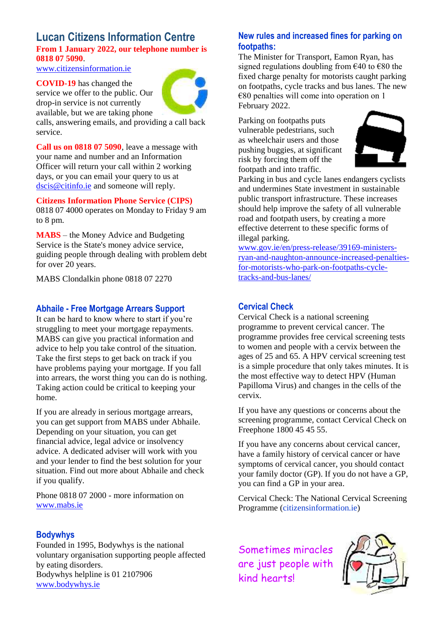### **Lucan Citizens Information Centre From 1 January 2022, our telephone number is 0818 07 5090**.

[www.citizensinformation.ie](http://www.citizensinformation.ie/)

**COVID-19** has changed the service we offer to the public. Our drop-in service is not currently available, but we are taking phone

![](_page_1_Picture_3.jpeg)

calls, answering emails, and providing a call back service.

**Call us on 0818 07 5090**, leave a message with your name and number and an Information Officer will return your call within 2 working days, or you can email your query to us at [dscis@citinfo.ie](mailto:dscis@citinfo.ie) and someone will reply.

**Citizens Information Phone Service (CIPS)** 0818 07 4000 operates on Monday to Friday 9 am to 8 pm.

**MABS** – the Money Advice and Budgeting Service is the State's money advice service, guiding people through dealing with problem debt for over 20 years.

MABS Clondalkin phone 0818 07 2270

### **Abhaile - Free Mortgage Arrears Support**

It can be hard to know where to start if you're struggling to meet your mortgage repayments. MABS can give you practical information and advice to help you take control of the situation. Take the first steps to get back on track if you have problems paying your mortgage. If you fall into arrears, the worst thing you can do is nothing. Taking action could be critical to keeping your home.

If you are already in serious mortgage arrears, you can get support from MABS under Abhaile. Depending on your situation, you can get financial advice, legal advice or insolvency advice. A dedicated adviser will work with you and your lender to find the best solution for your situation. Find out more about Abhaile and check if you qualify.

Phone 0818 07 2000 - more information on [www.mabs.ie](http://www.mabs.ie/)

### **Bodywhys**

Founded in 1995, Bodywhys is the national voluntary organisation supporting people affected by eating disorders. Bodywhys helpline is 01 2107906 [www.bodywhys.ie](http://www.bodywhys.ie/)

### **New rules and increased fines for parking on footpaths:**

The Minister for Transport, Eamon Ryan, has signed regulations doubling from  $\epsilon$ 40 to  $\epsilon$ 80 the fixed charge penalty for motorists caught parking on footpaths, cycle tracks and bus lanes. The new  $€80$  penalties will come into operation on 1 February 2022.

Parking on footpaths puts vulnerable pedestrians, such as wheelchair users and those pushing buggies, at significant risk by forcing them off the footpath and into traffic.

![](_page_1_Picture_18.jpeg)

Parking in bus and cycle lanes endangers cyclists and undermines State investment in sustainable public transport infrastructure. These increases should help improve the safety of all vulnerable road and footpath users, by creating a more effective deterrent to these specific forms of illegal parking.

[www.gov.ie/en/press-release/39169-ministers](http://www.gov.ie/en/press-release/39169-ministers-ryan-and-naughton-announce-increased-penalties-for-motorists-who-park-on-footpaths-cycle-tracks-and-bus-lanes/)[ryan-and-naughton-announce-increased-penalties](http://www.gov.ie/en/press-release/39169-ministers-ryan-and-naughton-announce-increased-penalties-for-motorists-who-park-on-footpaths-cycle-tracks-and-bus-lanes/)[for-motorists-who-park-on-footpaths-cycle](http://www.gov.ie/en/press-release/39169-ministers-ryan-and-naughton-announce-increased-penalties-for-motorists-who-park-on-footpaths-cycle-tracks-and-bus-lanes/)[tracks-and-bus-lanes/](http://www.gov.ie/en/press-release/39169-ministers-ryan-and-naughton-announce-increased-penalties-for-motorists-who-park-on-footpaths-cycle-tracks-and-bus-lanes/)

### **Cervical Check**

Cervical Check is a national screening programme to prevent cervical cancer. The programme provides free cervical screening tests to women and people with a cervix between the ages of 25 and 65. A HPV cervical screening test is a simple procedure that only takes minutes. It is the most effective way to detect HPV (Human Papilloma Virus) and changes in the cells of the cervix.

If you have any questions or concerns about the screening programme, contact Cervical Check on Freephone 1800 45 45 55.

If you have any concerns about cervical cancer, have a family history of cervical cancer or have symptoms of cervical cancer, you should contact your family doctor (GP). If you do not have a GP, you can find a GP in your area.

Cervical Check: The National Cervical Screening Programme (citizensinformation.ie)

Sometimes miracles are just people with kind hearts!

![](_page_1_Picture_27.jpeg)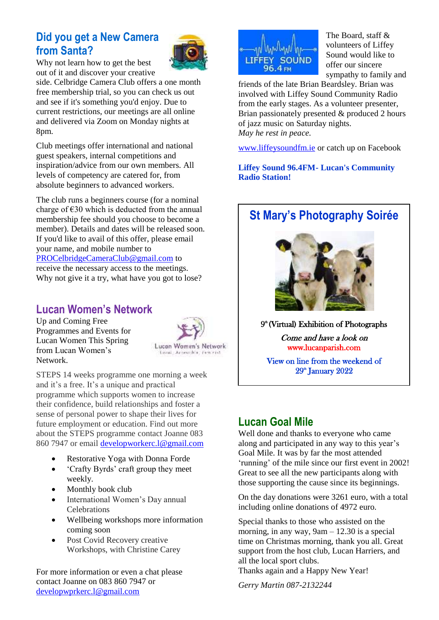### **Did you get a New Camera from Santa?**

![](_page_2_Picture_1.jpeg)

Why not learn how to get the best out of it and discover your creative

side. Celbridge Camera Club offers a one month free membership trial, so you can check us out and see if it's something you'd enjoy. Due to current restrictions, our meetings are all online and delivered via Zoom on Monday nights at 8pm.

Club meetings offer international and national guest speakers, internal competitions and inspiration/advice from our own members. All levels of competency are catered for, from absolute beginners to advanced workers.

The club runs a beginners course (for a nominal charge of  $\epsilon$ 30 which is deducted from the annual membership fee should you choose to become a member). Details and dates will be released soon. If you'd like to avail of this offer, please email your name, and mobile number to [PROCelbridgeCameraClub@gmail.com](mailto:PROCelbridgeCameraClub@gmail.com) to receive the necessary access to the meetings. Why not give it a try, what have you got to lose?

### **Lucan Women's Network**

Up and Coming Free Programmes and Events for Lucan Women This Spring from Lucan Women's Network.

![](_page_2_Picture_8.jpeg)

STEPS 14 weeks programme one morning a week and it's a free. It's a unique and practical programme which supports women to increase their confidence, build relationships and foster a sense of personal power to shape their lives for future employment or education. Find out more about the STEPS programme contact Joanne 083 860 7947 or email [developworkerc.l@gmail.com](mailto:developworkerc.l@gmail.com)

- Restorative Yoga with Donna Forde
- 'Crafty Byrds' craft group they meet weekly.
- Monthly book club
- International Women's Day annual Celebrations
- Wellbeing workshops more information coming soon
- Post Covid Recovery creative Workshops, with Christine Carey

For more information or even a chat please contact Joanne on 083 860 7947 or [developwprkerc.l@gmail.com](mailto:developwprkerc.l@gmail.com)

![](_page_2_Picture_17.jpeg)

The Board, staff & volunteers of Liffey Sound would like to offer our sincere sympathy to family and

friends of the late Brian Beardsley. Brian was involved with Liffey Sound Community Radio from the early stages. As a volunteer presenter, Brian passionately presented & produced 2 hours of jazz music on Saturday nights. *May he rest in peace.* 

[www.liffeysoundfm.ie](http://www.liffeysoundfm.ie/) or catch up on Facebook

**Liffey Sound 96.4FM- Lucan's Community Radio Station!** 

# **St Mary's Photography Soirée**

![](_page_2_Picture_23.jpeg)

9 th (Virtual) Exhibition of Photographs

Come and have a look on www.lucanparish.com

View on line from the weekend of 29**\* January** 2022

### **Lucan Goal Mile**

Well done and thanks to everyone who came along and participated in any way to this year's Goal Mile. It was by far the most attended 'running' of the mile since our first event in 2002! Great to see all the new participants along with those supporting the cause since its beginnings.

On the day donations were 3261 euro, with a total including online donations of 4972 euro.

Special thanks to those who assisted on the morning, in any way, 9am – 12.30 is a special time on Christmas morning, thank you all. Great support from the host club, Lucan Harriers, and all the local sport clubs.

Thanks again and a Happy New Year!

*Gerry Martin 087-2132244*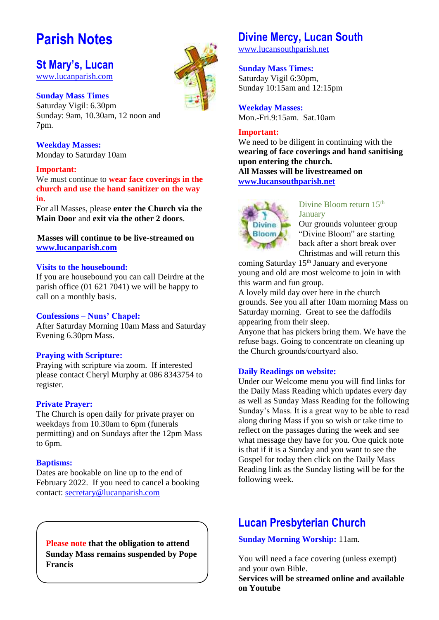# **Parish Notes**

### **St Mary's, Lucan**

[www.lucanparish.com](http://www.lucanparish.com/)

**Sunday Mass Times**  Saturday Vigil: 6.30pm Sunday: 9am, 10.30am, 12 noon and 7pm.

**Weekday Masses:** Monday to Saturday 10am

### **Important:**

We must continue to **wear face coverings in the church and use the hand sanitizer on the way in.**

For all Masses, please **enter the Church via the Main Door** and **exit via the other 2 doors**.

**Masses will continue to be live-streamed on [www.lucanparish.com](http://www.lucanparish.com/)**

### **Visits to the housebound:**

If you are housebound you can call Deirdre at the parish office (01 621 7041) we will be happy to call on a monthly basis.

### **Confessions – Nuns' Chapel:**

After Saturday Morning 10am Mass and Saturday Evening 6.30pm Mass.

### **Praying with Scripture:**

Praying with scripture via zoom. If interested please contact Cheryl Murphy at 086 8343754 to register.

### **Private Prayer:**

The Church is open daily for private prayer on weekdays from 10.30am to 6pm (funerals permitting) and on Sundays after the 12pm Mass to 6pm.

### **Baptisms:**

Dates are bookable on line up to the end of February 2022. If you need to cancel a booking contact: [secretary@lucanparish.com](mailto:secretary@lucanparish.com?subject=Cancellation%20of%20Baptism%20Booking&body=Dear%20Secretary%2C%0AI%20wish%20to%20cancel%20the%20booking%20made%20for%20baby%3A%0Aon%20date%3A%0AThank%20You)

**Please note that the obligation to attend Sunday Mass remains suspended by Pope Francis** 

## **Divine Mercy, Lucan South**

[www.lucansouthparish.net](http://www.lucansouthparish.net/)

### **Sunday Mass Times:**

Saturday Vigil 6:30pm, Sunday 10:15am and 12:15pm

**Weekday Masses:** Mon.-Fri.9:15am. Sat.10am

### **Important:**

We need to be diligent in continuing with the **wearing of face coverings and hand sanitising upon entering the church. All Masses will be livestreamed on [www.lucansouthparish.net](http://www.lucansouthparish.net/)**

![](_page_3_Picture_27.jpeg)

### Divine Bloom return 15<sup>th</sup> January

Our grounds volunteer group "Divine Bloom" are starting back after a short break over Christmas and will return this

coming Saturday 15<sup>th</sup> January and everyone young and old are most welcome to join in with this warm and fun group.

A lovely mild day over here in the church grounds. See you all after 10am morning Mass on Saturday morning. Great to see the daffodils appearing from their sleep.

Anyone that has pickers bring them. We have the refuse bags. Going to concentrate on cleaning up the Church grounds/courtyard also.

### **Daily Readings on website:**

Under our Welcome menu you will find links for the Daily Mass Reading which updates every day as well as Sunday Mass Reading for the following Sunday's Mass. It is a great way to be able to read along during Mass if you so wish or take time to reflect on the passages during the week and see what message they have for you. One quick note is that if it is a Sunday and you want to see the Gospel for today then click on the Daily Mass Reading link as the Sunday listing will be for the following week.

# **Lucan Presbyterian Church**

### **Sunday Morning Worship:** 11am.

You will need a face covering (unless exempt) and your own Bible.

**Services will be streamed online and available on Youtube**

![](_page_3_Picture_39.jpeg)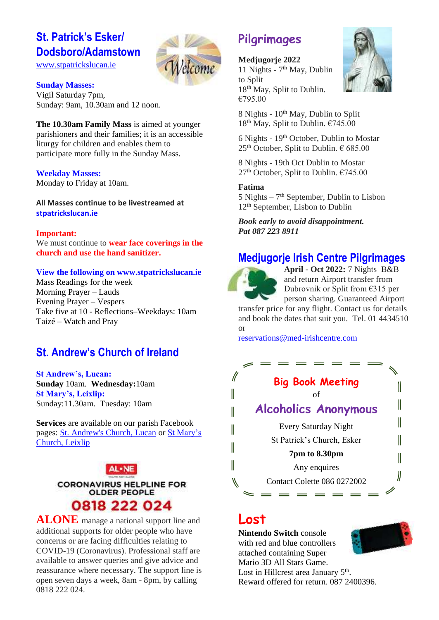# **St. Patrick's Esker/ Dodsboro/Adamstown**

[www.stpatrickslucan.ie](http://www.stpatrickslucan.ie/)

![](_page_4_Picture_2.jpeg)

**Sunday Masses:** Vigil Saturday 7pm, Sunday: 9am, 10.30am and 12 noon.

**The 10.30am Family Mass** is aimed at younger parishioners and their families; it is an accessible liturgy for children and enables them to participate more fully in the Sunday Mass.

#### **Weekday Masses:** Monday to Friday at 10am.

**All Masses continue to be livestreamed at stpatrickslucan.ie**

### **Important:**

We must continue to **wear face coverings in the church and use the hand sanitizer.** 

### **View the following on www.stpatrickslucan.ie**

Mass Readings for the week Morning Prayer – Lauds Evening Prayer – Vespers Take five at 10 - Reflections–Weekdays: 10am Taizé – Watch and Pray

# **St. Andrew's Church of Ireland**

### **St Andrew's, Lucan: Sunday** 10am. **Wednesday:**10am **St Mary's, Leixlip:**  Sunday:11.30am. Tuesday: 10am

**Services** are available on our parish Facebook pages: [St. Andrew's Church, Lucan](https://www.facebook.com/standrewslucan/) or [St Mary's](https://www.facebook.com/stmarysleixlip/)  [Church, Leixlip](https://www.facebook.com/stmarysleixlip/)

![](_page_4_Picture_14.jpeg)

**CORONAVIRUS HELPLINE FOR OLDER PEOPLE** 

# 0818 222 024

**ALONE** manage a national support line and additional supports for older people who have concerns or are facing difficulties relating to COVID-19 (Coronavirus). Professional staff are available to answer queries and give advice and reassurance where necessary. The support line is open seven days a week, 8am - 8pm, by calling 0818 222 024.

# **Pilgrimages**

### **Medjugorje 2022**

11 Nights - 7<sup>th</sup> May, Dublin to Split 18<sup>th</sup> May, Split to Dublin. €795.00

![](_page_4_Picture_21.jpeg)

8 Nights - 10<sup>th</sup> May, Dublin to Split  $18<sup>th</sup>$  May, Split to Dublin.  $€745.00$ 

6 Nights - 19th October, Dublin to Mostar  $25<sup>th</sup>$  October, Split to Dublin.  $\epsilon$  685.00

8 Nights - 19th Oct Dublin to Mostar  $27<sup>th</sup>$  October, Split to Dublin.  $€745.00$ 

### **Fatima**

5 Nights – 7 th September, Dublin to Lisbon 12<sup>th</sup> September, Lisbon to Dublin

*Book early to avoid disappointment. Pat 087 223 8911*

### **Medjugorje Irish Centre Pilgrimages**

![](_page_4_Picture_29.jpeg)

**April - Oct 2022:** 7 Nights B&B and return Airport transfer from Dubrovnik or Split from €315 per person sharing. Guaranteed Airport

transfer price for any flight. Contact us for details and book the dates that suit you. Tel. 01 4434510 or

[reservations@med-irishcentre.com](mailto:reservations@med-irishcentre.com)

![](_page_4_Picture_33.jpeg)

# **Lost**

**Nintendo Switch** console with red and blue controllers attached containing Super Mario 3D All Stars Game.

![](_page_4_Picture_36.jpeg)

Lost in Hillcrest area January 5<sup>th</sup>. Reward offered for return. 087 2400396.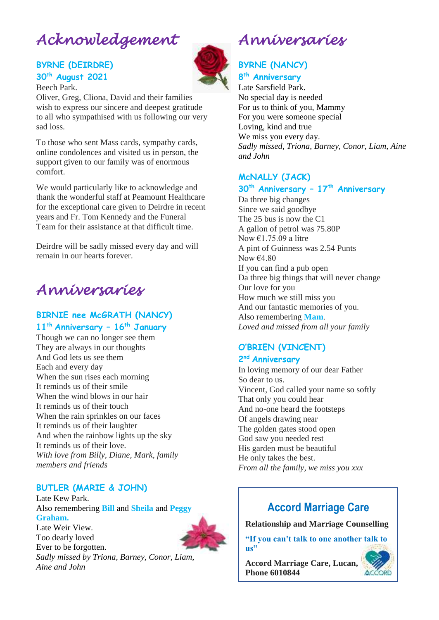# *Acknowledgement*

### **BYRNE (DEIRDRE) 30th August 2021** Beech Park.

![](_page_5_Picture_2.jpeg)

Oliver, Greg, Cliona, David and their families wish to express our sincere and deepest gratitude to all who sympathised with us following our very sad loss.

To those who sent Mass cards, sympathy cards, online condolences and visited us in person, the support given to our family was of enormous comfort.

We would particularly like to acknowledge and thank the wonderful staff at Peamount Healthcare for the exceptional care given to Deirdre in recent years and Fr. Tom Kennedy and the Funeral Team for their assistance at that difficult time.

Deirdre will be sadly missed every day and will remain in our hearts forever.

# *Anniversaries*

### **BIRNIE nee McGRATH (NANCY) 11th Anniversary – 16th January**

Though we can no longer see them They are always in our thoughts And God lets us see them Each and every day When the sun rises each morning It reminds us of their smile When the wind blows in our hair It reminds us of their touch When the rain sprinkles on our faces It reminds us of their laughter And when the rainbow lights up the sky It reminds us of their love. *With love from Billy, Diane, Mark, family members and friends*

### **BUTLER (MARIE & JOHN)**

Late Kew Park. Also remembering **Bill** and **Sheila** and **Peggy Graham.**

![](_page_5_Picture_12.jpeg)

# *Anniversaries*

### **BYRNE (NANCY) 8 th Anniversary**

Late Sarsfield Park. No special day is needed For us to think of you, Mammy For you were someone special Loving, kind and true We miss you every day. *Sadly missed, Triona, Barney, Conor, Liam, Aine and John*

### **McNALLY (JACK)**

### **30th Anniversary – 17th Anniversary**

Da three big changes Since we said goodbye The 25 bus is now the C1 A gallon of petrol was 75.80P Now €1.75.09 a litre A pint of Guinness was 2.54 Punts Now  $64.80$ If you can find a pub open Da three big things that will never change Our love for you How much we still miss you And our fantastic memories of you. Also remembering **Mam**. *Loved and missed from all your family*

### **O'BRIEN (VINCENT)**

### **2 nd Anniversary**

In loving memory of our dear Father So dear to us. Vincent, God called your name so softly That only you could hear And no-one heard the footsteps Of angels drawing near The golden gates stood open God saw you needed rest His garden must be beautiful He only takes the best. *From all the family, we miss you xxx*

# **Accord Marriage Care**

### **Relationship and Marriage Counselling**

**"If you can't talk to one another talk to us"**

 **Accord Marriage Care, Lucan, Phone 6010844**

![](_page_5_Picture_26.jpeg)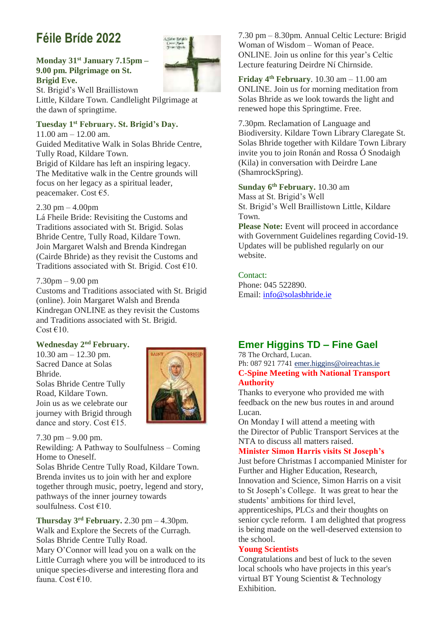# **Féile Bríde 2022**

### **Monday 31st January 7.15pm – 9.00 pm. Pilgrimage on St. Brigid Eve.**

![](_page_6_Picture_2.jpeg)

St. Brigid's Well Braillistown Little, Kildare Town. Candlelight Pilgrimage at the dawn of springtime.

### **Tuesday 1st February. St. Brigid's Day.**

11.00 am – 12.00 am. Guided Meditative Walk in Solas Bhride Centre, Tully Road, Kildare Town. Brigid of Kildare has left an inspiring legacy. The Meditative walk in the Centre grounds will focus on her legacy as a spiritual leader, peacemaker. Cost €5.

### $2.30$  pm  $-4.00$ pm

Lá Fheile Bride: Revisiting the Customs and Traditions associated with St. Brigid. Solas Bhride Centre, Tully Road, Kildare Town. Join Margaret Walsh and Brenda Kindregan (Cairde Bhride) as they revisit the Customs and Traditions associated with St. Brigid. Cost  $\epsilon$ 10.

### 7.30pm – 9.00 pm

Customs and Traditions associated with St. Brigid (online). Join Margaret Walsh and Brenda Kindregan ONLINE as they revisit the Customs and Traditions associated with St. Brigid. Cost  $€10$ .

### Wednesday 2<sup>nd</sup> February.

10.30 am – 12.30 pm. Sacred Dance at Solas Bhride. Solas Bhride Centre Tully Road, Kildare Town. Join us as we celebrate our journey with Brigid through dance and story. Cost €15.

![](_page_6_Picture_12.jpeg)

7.30 pm – 9.00 pm.

Rewilding: A Pathway to Soulfulness – Coming Home to Oneself.

Solas Bhride Centre Tully Road, Kildare Town. Brenda invites us to join with her and explore together through music, poetry, legend and story, pathways of the inner journey towards soulfulness. Cost €10.

**Thursday 3rd February.** 2.30 pm – 4.30pm. Walk and Explore the Secrets of the Curragh. Solas Bhride Centre Tully Road. Mary O'Connor will lead you on a walk on the Little Curragh where you will be introduced to its unique species-diverse and interesting flora and fauna. Cost €10.

7.30 pm – 8.30pm. Annual Celtic Lecture: Brigid Woman of Wisdom – Woman of Peace. ONLINE. Join us online for this year's Celtic Lecture featuring Deirdre Ní Chirnside.

**Friday 4th February**. 10.30 am – 11.00 am ONLINE. Join us for morning meditation from Solas Bhride as we look towards the light and renewed hope this Springtime. Free.

7.30pm. Reclamation of Language and Biodiversity. Kildare Town Library Claregate St. Solas Bhride together with Kildare Town Library invite you to join Ronán and Rossa Ó Snodaigh (Kila) in conversation with Deirdre Lane (ShamrockSpring).

**Sunday 6th February.** 10.30 am Mass at St. Brigid's Well St. Brigid's Well Braillistown Little, Kildare Town. **Please Note:** Event will proceed in accordance with Government Guidelines regarding Covid-19.

Updates will be published regularly on our website.

#### Contact:

Phone: 045 522890. Email: [info@solasbhride.ie](mailto:info@solasbhride.ie)

### **Emer Higgins TD – Fine Gael**

78 The Orchard, Lucan. Ph: 087 921 7741 [emer.higgins@oireachtas.ie](mailto:emer.higgins@oireachtas.ie) **C-Spine Meeting with National Transport Authority**

Thanks to everyone who provided me with feedback on the new bus routes in and around Lucan.

On Monday I will attend a meeting with the Director of Public Transport Services at the NTA to discuss all matters raised.

### **Minister Simon Harris visits St Joseph's**

Just before Christmas I accompanied Minister for Further and Higher Education, Research, Innovation and Science, Simon Harris on a visit to St Joseph's College. It was great to hear the students' ambitions for third level, apprenticeships, PLCs and their thoughts on senior cycle reform. I am delighted that progress is being made on the well-deserved extension to the school.

### **Young Scientists**

Congratulations and best of luck to the seven local schools who have projects in this year's virtual BT Young Scientist & Technology Exhibition.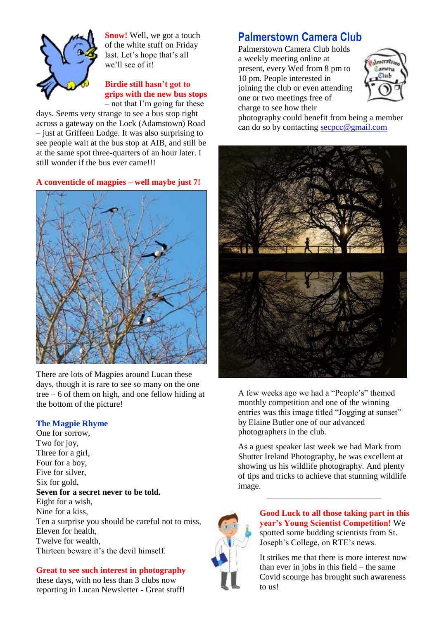![](_page_7_Picture_0.jpeg)

**Snow!** Well, we got a touch of the white stuff on Friday last. Let's hope that's all we'll see of it!

### **Birdie still hasn't got to grips with the new bus stops** – not that I'm going far these

days. Seems very strange to see a bus stop right across a gateway on the Lock (Adamstown) Road – just at Griffeen Lodge. It was also surprising to see people wait at the bus stop at AIB, and still be at the same spot three-quarters of an hour later. I still wonder if the bus ever came!!!

### **A conventicle of magpies – well maybe just 7!**

![](_page_7_Picture_5.jpeg)

There are lots of Magpies around Lucan these days, though it is rare to see so many on the one tree – 6 of them on high, and one fellow hiding at the bottom of the picture!

### **The Magpie Rhyme**

One for sorrow, Two for joy, Three for a girl, Four for a boy, Five for silver, Six for gold, **Seven for a secret never to be told.** Eight for a wish, Nine for a kiss, Ten a surprise you should be careful not to miss, Eleven for health, Twelve for wealth, Thirteen beware it's the devil himself.

### **Great to see such interest in photography**

these days, with no less than 3 clubs now reporting in Lucan Newsletter - Great stuff!

## **Palmerstown Camera Club**

Palmerstown Camera Club holds a weekly meeting online at present, every Wed from 8 pm to 10 pm. People interested in joining the club or even attending one or two meetings free of charge to see how their

![](_page_7_Picture_13.jpeg)

photography could benefit from being a member can do so by contacting [secpcc@gmail.com](mailto:secpcc@gmail.com)

![](_page_7_Picture_15.jpeg)

A few weeks ago we had a "People's" themed monthly competition and one of the winning entries was this image titled "Jogging at sunset" by Elaine Butler one of our advanced photographers in the club.

As a guest speaker last week we had Mark from Shutter Ireland Photography, he was excellent at showing us his wildlife photography. And plenty of tips and tricks to achieve that stunning wildlife image.

\_\_\_\_\_\_\_\_\_\_\_\_\_\_\_\_\_\_\_\_\_\_\_\_\_\_\_

![](_page_7_Picture_18.jpeg)

**Good Luck to all those taking part in this year's Young Scientist Competition!** We spotted some budding scientists from St. Joseph's College, on RTE's news.

It strikes me that there is more interest now than ever in jobs in this field – the same Covid scourge has brought such awareness to us!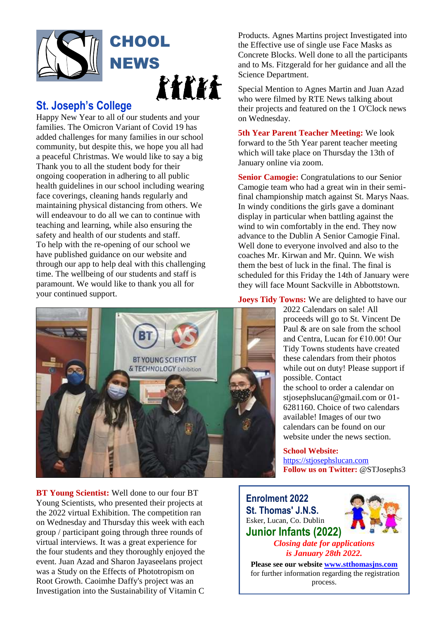![](_page_8_Picture_0.jpeg)

### **St. Joseph's College**

Happy New Year to all of our students and your families. The Omicron Variant of Covid 19 has added challenges for many families in our school community, but despite this, we hope you all had a peaceful Christmas. We would like to say a big Thank you to all the student body for their ongoing cooperation in adhering to all public health guidelines in our school including wearing face coverings, cleaning hands regularly and maintaining physical distancing from others. We will endeavour to do all we can to continue with teaching and learning, while also ensuring the safety and health of our students and staff. To help with the re-opening of our school we have published guidance on our website and through our app to help deal with this challenging time. The wellbeing of our students and staff is paramount. We would like to thank you all for your continued support.

![](_page_8_Picture_3.jpeg)

**BT Young Scientist:** Well done to our four BT Young Scientists, who presented their projects at the 2022 virtual Exhibition. The competition ran on Wednesday and Thursday this week with each group / participant going through three rounds of virtual interviews. It was a great experience for the four students and they thoroughly enjoyed the event. Juan Azad and Sharon Jayaseelans project was a Study on the Effects of Phototropism on Root Growth. Caoimhe Daffy's project was an Investigation into the Sustainability of Vitamin C

Products. Agnes Martins project Investigated into the Effective use of single use Face Masks as Concrete Blocks. Well done to all the participants and to Ms. Fitzgerald for her guidance and all the Science Department.

Special Mention to Agnes Martin and Juan Azad who were filmed by RTE News talking about their projects and featured on the 1 O'Clock news on Wednesday.

**5th Year Parent Teacher Meeting:** We look forward to the 5th Year parent teacher meeting which will take place on Thursday the 13th of January online via zoom.

**Senior Camogie:** Congratulations to our Senior Camogie team who had a great win in their semifinal championship match against St. Marys Naas. In windy conditions the girls gave a dominant display in particular when battling against the wind to win comfortably in the end. They now advance to the Dublin A Senior Camogie Final. Well done to everyone involved and also to the coaches Mr. Kirwan and Mr. Quinn. We wish them the best of luck in the final. The final is scheduled for this Friday the 14th of January were they will face Mount Sackville in Abbottstown.

**Joeys Tidy Towns:** We are delighted to have our

2022 Calendars on sale! All proceeds will go to St. Vincent De Paul & are on sale from the school and Centra, Lucan for €10.00! Our Tidy Towns students have created these calendars from their photos while out on duty! Please support if possible. Contact the school to order a calendar on stjosephslucan@gmail.com or 01- 6281160. Choice of two calendars available! Images of our two calendars can be found on our website under the news section.

**School Website:** [https://stjosephslucan.com](https://stjosephslucan.com/) **Follow us on Twitter:** @STJosephs3

**Enrolment 2022 St. Thomas' J.N.S.** Esker, Lucan, Co. Dublin **Junior Infants (2022)**

![](_page_8_Picture_13.jpeg)

*Closing date for applications is January 28th 2022.*

**Please see our website [www.stthomasjns.com](http://www.stthomasjns.com/)** for further information regarding the registration process.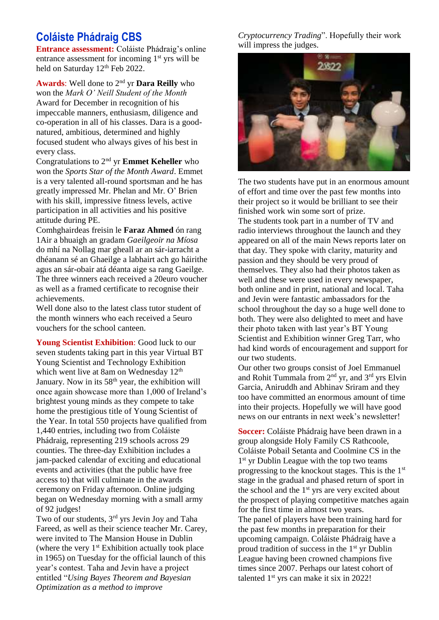### **Coláiste Phádraig CBS**

**Entrance assessment:** Coláiste Phádraig's online entrance assessment for incoming 1<sup>st</sup> yrs will be held on Saturday 12<sup>th</sup> Feb 2022.

**Awards**: Well done to 2nd yr **Dara Reilly** who won the *Mark O' Neill Student of the Month*  Award for December in recognition of his impeccable manners, enthusiasm, diligence and co-operation in all of his classes. Dara is a goodnatured, ambitious, determined and highly focused student who always gives of his best in every class.

Congratulations to 2nd yr **Emmet Keheller** who won the *Sports Star of the Month Award*. Emmet is a very talented all-round sportsman and he has greatly impressed Mr. Phelan and Mr. O' Brien with his skill, impressive fitness levels, active participation in all activities and his positive attitude during PE.

Comhghairdeas freisin le **Faraz Ahmed** ón rang 1Air a bhuaigh an gradam *Gaeilgeoir na Míosa* do mhí na Nollag mar gheall ar an sár-iarracht a dhéanann sé an Ghaeilge a labhairt ach go háirithe agus an sár-obair atá déanta aige sa rang Gaeilge. The three winners each received a 20euro voucher as well as a framed certificate to recognise their achievements.

Well done also to the latest class tutor student of the month winners who each received a 5euro vouchers for the school canteen.

**Young Scientist Exhibition**: Good luck to our seven students taking part in this year Virtual BT Young Scientist and Technology Exhibition which went live at 8am on Wednesday 12<sup>th</sup> January. Now in its 58<sup>th</sup> year, the exhibition will once again showcase more than 1,000 of Ireland's brightest young minds as they compete to take home the prestigious title of Young Scientist of the Year. In total 550 projects have qualified from 1,440 entries, including two from Coláiste Phádraig, representing 219 schools across 29 counties. The three-day Exhibition includes a jam-packed calendar of exciting and educational events and activities (that the public have free access to) that will culminate in the awards ceremony on Friday afternoon. Online judging began on Wednesday morning with a small army of 92 judges!

Two of our students, 3rd yrs Jevin Joy and Taha Fareed, as well as their science teacher Mr. Carey, were invited to The Mansion House in Dublin (where the very  $1<sup>st</sup>$  Exhibition actually took place in 1965) on Tuesday for the official launch of this year's contest. Taha and Jevin have a project entitled "*Using Bayes Theorem and Bayesian Optimization as a method to improve* 

*Cryptocurrency Trading*". Hopefully their work will impress the judges.

![](_page_9_Picture_9.jpeg)

The two students have put in an enormous amount of effort and time over the past few months into their project so it would be brilliant to see their finished work win some sort of prize. The students took part in a number of TV and radio interviews throughout the launch and they appeared on all of the main News reports later on that day. They spoke with clarity, maturity and passion and they should be very proud of themselves. They also had their photos taken as well and these were used in every newspaper, both online and in print, national and local. Taha and Jevin were fantastic ambassadors for the school throughout the day so a huge well done to both. They were also delighted to meet and have their photo taken with last year's BT Young Scientist and Exhibition winner Greg Tarr, who had kind words of encouragement and support for our two students.

Our other two groups consist of Joel Emmanuel and Rohit Tummala from  $2<sup>nd</sup>$  yr, and  $3<sup>rd</sup>$  yrs Elvin Garcia, Aniruddh and Abhinav Sriram and they too have committed an enormous amount of time into their projects. Hopefully we will have good news on our entrants in next week's newsletter!

**Soccer:** Coláiste Phádraig have been drawn in a group alongside Holy Family CS Rathcoole, Coláiste Pobail Setanta and Coolmine CS in the 1<sup>st</sup> yr Dublin League with the top two teams progressing to the knockout stages. This is the 1<sup>st</sup> stage in the gradual and phased return of sport in the school and the 1<sup>st</sup> yrs are very excited about the prospect of playing competitive matches again for the first time in almost two years. The panel of players have been training hard for the past few months in preparation for their upcoming campaign. Coláiste Phádraig have a proud tradition of success in the  $1<sup>st</sup>$  yr Dublin League having been crowned champions five times since 2007. Perhaps our latest cohort of talented  $1<sup>st</sup>$  yrs can make it six in 2022!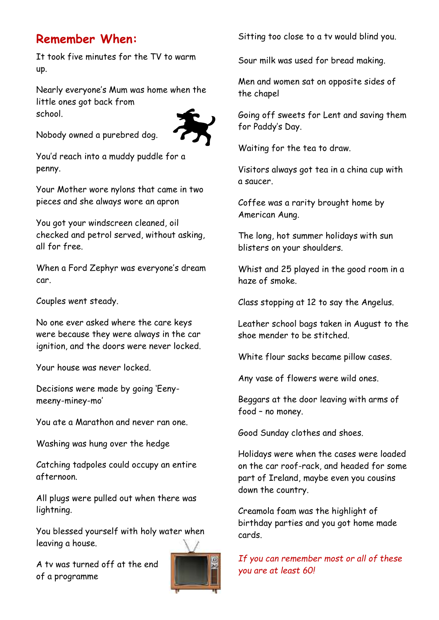# **Remember When:**

It took five minutes for the TV to warm up.

Nearly everyone's Mum was home when the little ones got back from school.

![](_page_10_Picture_3.jpeg)

Nobody owned a purebred dog.

You'd reach into a muddy puddle for a penny.

Your Mother wore nylons that came in two pieces and she always wore an apron

You got your windscreen cleaned, oil checked and petrol served, without asking, all for free.

When a Ford Zephyr was everyone's dream car.

Couples went steady.

No one ever asked where the care keys were because they were always in the car ignition, and the doors were never locked.

Your house was never locked.

Decisions were made by going 'Eenymeeny-miney-mo'

You ate a Marathon and never ran one.

Washing was hung over the hedge

Catching tadpoles could occupy an entire afternoon.

All plugs were pulled out when there was lightning.

You blessed yourself with holy water when leaving a house.

A tv was turned off at the end of a programme

![](_page_10_Picture_19.jpeg)

Sitting too close to a tv would blind you.

Sour milk was used for bread making.

Men and women sat on opposite sides of the chapel

Going off sweets for Lent and saving them for Paddy's Day.

Waiting for the tea to draw.

Visitors always got tea in a china cup with a saucer.

Coffee was a rarity brought home by American Aung.

The long, hot summer holidays with sun blisters on your shoulders.

Whist and 25 played in the good room in a haze of smoke.

Class stopping at 12 to say the Angelus.

Leather school bags taken in August to the shoe mender to be stitched.

White flour sacks became pillow cases.

Any vase of flowers were wild ones.

Beggars at the door leaving with arms of food – no money.

Good Sunday clothes and shoes.

Holidays were when the cases were loaded on the car roof-rack, and headed for some part of Ireland, maybe even you cousins down the country.

Creamola foam was the highlight of birthday parties and you got home made cards.

*If you can remember most or all of these you are at least 60!*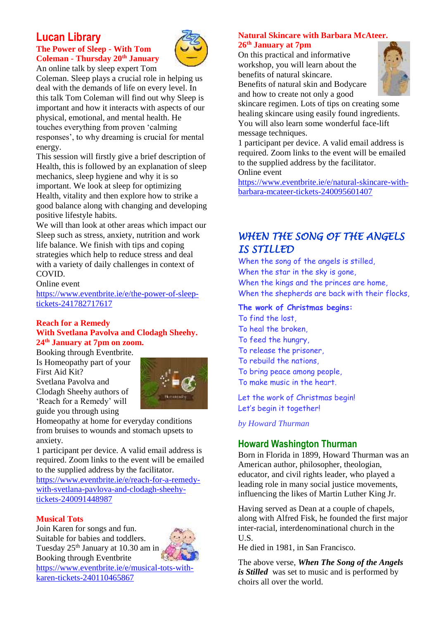### **Lucan Library The Power of Sleep - With Tom Coleman - Thursday 20th January**

![](_page_11_Picture_1.jpeg)

An online talk by sleep expert Tom Coleman. Sleep plays a crucial role in helping us deal with the demands of life on every level. In this talk Tom Coleman will find out why Sleep is important and how it interacts with aspects of our physical, emotional, and mental health. He touches everything from proven 'calming responses', to why dreaming is crucial for mental energy.

This session will firstly give a brief description of Health, this is followed by an explanation of sleep mechanics, sleep hygiene and why it is so important. We look at sleep for optimizing Health, vitality and then explore how to strike a good balance along with changing and developing positive lifestyle habits.

We will than look at other areas which impact our Sleep such as stress, anxiety, nutrition and work life balance. We finish with tips and coping strategies which help to reduce stress and deal with a variety of daily challenges in context of COVID.

Online event

[https://www.eventbrite.ie/e/the-power-of-sleep](https://www.eventbrite.ie/e/the-power-of-sleep-tickets-241782717617)[tickets-241782717617](https://www.eventbrite.ie/e/the-power-of-sleep-tickets-241782717617)

#### **Reach for a Remedy With Svetlana Pavolva and Clodagh Sheehy. 24th January at 7pm on zoom.**

Booking through Eventbrite. Is Homeopathy part of your First Aid Kit? Svetlana Pavolva and Clodagh Sheehy authors of 'Reach for a Remedy' will guide you through using

![](_page_11_Picture_9.jpeg)

Homeopathy at home for everyday conditions from bruises to wounds and stomach upsets to anxiety.

1 participant per device. A valid email address is required. Zoom links to the event will be emailed to the supplied address by the facilitator.

[https://www.eventbrite.ie/e/reach-for-a-remedy](https://www.eventbrite.ie/e/reach-for-a-remedy-with-svetlana-pavlova-and-clodagh-sheehy-tickets-240091448987)[with-svetlana-pavlova-and-clodagh-sheehy](https://www.eventbrite.ie/e/reach-for-a-remedy-with-svetlana-pavlova-and-clodagh-sheehy-tickets-240091448987)[tickets-240091448987](https://www.eventbrite.ie/e/reach-for-a-remedy-with-svetlana-pavlova-and-clodagh-sheehy-tickets-240091448987)

### **Musical Tots**

Join Karen for songs and fun. Suitable for babies and toddlers. Tuesday  $25<sup>th</sup>$  January at 10.30 am in Booking through Eventbrite [https://www.eventbrite.ie/e/musical-tots-with](https://www.eventbrite.ie/e/musical-tots-with-karen-tickets-240110465867)[karen-tickets-240110465867](https://www.eventbrite.ie/e/musical-tots-with-karen-tickets-240110465867)

### **Natural Skincare with Barbara McAteer. 26th January at 7pm**

On this practical and informative workshop, you will learn about the benefits of natural skincare. Benefits of natural skin and Bodycare and how to create not only a good

![](_page_11_Picture_17.jpeg)

skincare regimen. Lots of tips on creating some healing skincare using easily found ingredients. You will also learn some wonderful face-lift message techniques.

1 participant per device. A valid email address is required. Zoom links to the event will be emailed to the supplied address by the facilitator. Online event

[https://www.eventbrite.ie/e/natural-skincare-with](https://www.eventbrite.ie/e/natural-skincare-with-barbara-mcateer-tickets-240095601407)[barbara-mcateer-tickets-240095601407](https://www.eventbrite.ie/e/natural-skincare-with-barbara-mcateer-tickets-240095601407)

### *WHEN THE SONG OF THE ANGELS IS STILLED*

When the song of the angels is stilled, When the star in the sky is gone, When the kings and the princes are home, When the shepherds are back with their flocks,

### **The work of Christmas begins:**

To find the lost, To heal the broken, To feed the hungry, To release the prisoner, To rebuild the nations, To bring peace among people, To make music in the heart.

Let the work of Christmas begin! Let's begin it together!

*by Howard Thurman*

### **Howard Washington Thurman**

Born in Florida in 1899, Howard Thurman was an American author, philosopher, theologian, educator, and civil rights leader, who played a leading role in many social justice movements, influencing the likes of Martin Luther King Jr.

Having served as Dean at a couple of chapels, along with Alfred Fisk, he founded the first major inter-racial, interdenominational church in the U.S.

He died in 1981, in San Francisco.

The above verse, *When The Song of the Angels is Stilled* was set to music and is performed by choirs all over the world.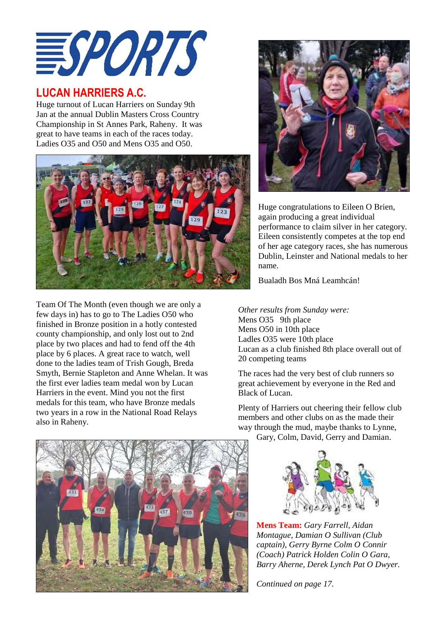![](_page_12_Picture_0.jpeg)

### **LUCAN HARRIERS A.C.**

Huge turnout of Lucan Harriers on Sunday 9th Jan at the annual Dublin Masters Cross Country Championship in St Annes Park, Raheny. It was great to have teams in each of the races today. Ladies O35 and O50 and Mens O35 and O50.

![](_page_12_Picture_3.jpeg)

Team Of The Month (even though we are only a few days in) has to go to The Ladies O50 who finished in Bronze position in a hotly contested county championship, and only lost out to 2nd place by two places and had to fend off the 4th place by 6 places. A great race to watch, well done to the ladies team of Trish Gough, Breda Smyth, Bernie Stapleton and Anne Whelan. It was the first ever ladies team medal won by Lucan Harriers in the event. Mind you not the first medals for this team, who have Bronze medals two years in a row in the National Road Relays also in Raheny.

![](_page_12_Picture_5.jpeg)

Huge congratulations to Eileen O Brien, again producing a great individual performance to claim silver in her category. Eileen consistently competes at the top end of her age category races, she has numerous Dublin, Leinster and National medals to her name.

Bualadh Bos Mná Leamhcán!

*Other results from Sunday were:* Mens O35 9th place Mens O50 in 10th place Ladles O35 were 10th place Lucan as a club finished 8th place overall out of 20 competing teams

The races had the very best of club runners so great achievement by everyone in the Red and Black of Lucan.

Plenty of Harriers out cheering their fellow club members and other clubs on as the made their way through the mud, maybe thanks to Lynne,

Gary, Colm, David, Gerry and Damian.

![](_page_12_Picture_12.jpeg)

**Mens Team:** *Gary Farrell, Aidan Montague, Damian O Sullivan (Club captain), Gerry Byrne Colm O Connir (Coach) Patrick Holden Colin O Gara, Barry Aherne, Derek Lynch Pat O Dwyer.*

*Continued on page 17.*

![](_page_12_Picture_15.jpeg)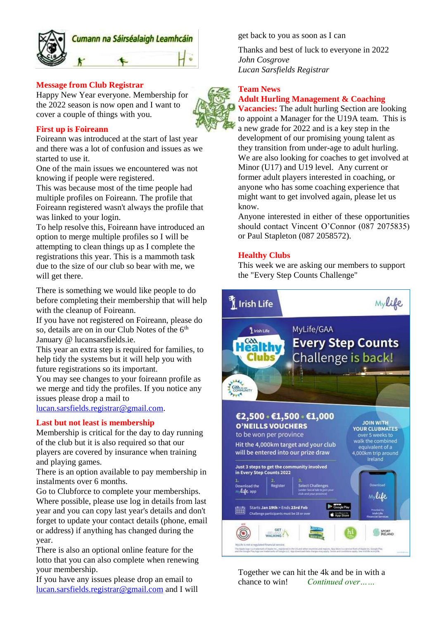![](_page_13_Picture_0.jpeg)

#### **Message from Club Registrar**

Happy New Year everyone. Membership for the 2022 season is now open and I want to cover a couple of things with you.

![](_page_13_Picture_3.jpeg)

#### **First up is Foireann**

Foireann was introduced at the start of last year and there was a lot of confusion and issues as we started to use it.

One of the main issues we encountered was not knowing if people were registered.

This was because most of the time people had multiple profiles on Foireann. The profile that Foireann registered wasn't always the profile that was linked to your login.

To help resolve this, Foireann have introduced an option to merge multiple profiles so I will be attempting to clean things up as I complete the registrations this year. This is a mammoth task due to the size of our club so bear with me, we will get there.

There is something we would like people to do before completing their membership that will help with the cleanup of Foireann.

If you have not registered on Foireann, please do so, details are on in our Club Notes of the  $6<sup>th</sup>$ January @ lucansarsfields.ie.

This year an extra step is required for families, to help tidy the systems but it will help you with future registrations so its important.

You may see changes to your foireann profile as we merge and tidy the profiles. If you notice any issues please drop a mail to

[lucan.sarsfields.registrar@gmail.com.](mailto:lucan.sarsfields.registrar@gmail.com)

#### **Last but not least is membership**

Membership is critical for the day to day running of the club but it is also required so that our players are covered by insurance when training and playing games.

There is an option available to pay membership in instalments over 6 months.

Go to Clubforce to complete your memberships. Where possible, please use log in details from last year and you can copy last year's details and don't forget to update your contact details (phone, email or address) if anything has changed during the year.

There is also an optional online feature for the lotto that you can also complete when renewing your membership.

If you have any issues please drop an email to [lucan.sarsfields.registrar@gmail.com](mailto:lucan.sarsfields.registrar@gmail.com) and I will get back to you as soon as I can

Thanks and best of luck to everyone in 2022 *John Cosgrove Lucan Sarsfields Registrar*

#### **Team News**

#### **Adult Hurling Management & Coaching**

**Vacancies:** The adult hurling Section are looking to appoint a Manager for the U19A team. This is a new grade for 2022 and is a key step in the development of our promising young talent as they transition from under-age to adult hurling. We are also looking for coaches to get involved at Minor (U17) and U19 level. Any current or former adult players interested in coaching, or anyone who has some coaching experience that might want to get involved again, please let us know.

Anyone interested in either of these opportunities should contact Vincent O'Connor (087 2075835) or Paul Stapleton (087 2058572).

#### **Healthy Clubs**

This week we are asking our members to support the "Every Step Counts Challenge"

![](_page_13_Picture_28.jpeg)

Together we can hit the 4k and be in with a chance to win! *Continued over……*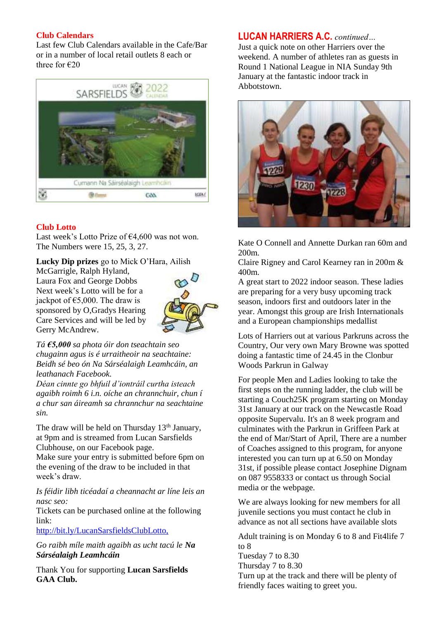### **Club Calendars**

Last few Club Calendars available in the Cafe/Bar or in a number of local retail outlets 8 each or three for €20

![](_page_14_Picture_2.jpeg)

### **Club Lotto**

Last week's Lotto Prize of  $64,600$  was not won. The Numbers were 15, 25, 3, 27.

**Lucky Dip prizes** go to Mick O'Hara, Ailish

McGarrigle, Ralph Hyland, Laura Fox and George Dobbs Next week's Lotto will be for a jackpot of  $65,000$ . The draw is sponsored by O,Gradys Hearing Care Services and will be led by Gerry McAndrew.

![](_page_14_Picture_7.jpeg)

*Tá €5,000 sa phota óir don tseachtain seo chugainn agus is é urraitheoir na seachtaine: Beidh sé beo ón Na Sárséalaigh Leamhcáin, an leathanach Facebook.*

*Déan cinnte go bhfuil d'iontráil curtha isteach agaibh roimh 6 i.n. oíche an chrannchuir, chun í a chur san áireamh sa chrannchur na seachtaine sin.*

The draw will be held on Thursday 13<sup>th</sup> January, at 9pm and is streamed from Lucan Sarsfields Clubhouse, on our Facebook page.

Make sure your entry is submitted before 6pm on the evening of the draw to be included in that week's draw.

*Is féidir libh ticéadaí a cheannacht ar líne leis an nasc seo:*

Tickets can be purchased online at the following link:

<http://bit.ly/LucanSarsfieldsClubLotto,>

*Go raibh míle maith agaibh as ucht tacú le Na Sárséalaigh Leamhcáin*

Thank You for supporting **Lucan Sarsfields GAA Club.**

### **LUCAN HARRIERS A.C.** *continued…*

Just a quick note on other Harriers over the weekend. A number of athletes ran as guests in Round 1 National League in NIA Sunday 9th January at the fantastic indoor track in Abbotstown.

![](_page_14_Picture_19.jpeg)

Kate O Connell and Annette Durkan ran 60m and 200m.

Claire Rigney and Carol Kearney ran in 200m & 400m.

A great start to 2022 indoor season. These ladies are preparing for a very busy upcoming track season, indoors first and outdoors later in the year. Amongst this group are Irish Internationals and a European championships medallist

Lots of Harriers out at various Parkruns across the Country, Our very own Mary Browne was spotted doing a fantastic time of 24.45 in the Clonbur Woods Parkrun in Galway

For people Men and Ladies looking to take the first steps on the running ladder, the club will be starting a Couch25K program starting on Monday 31st January at our track on the Newcastle Road opposite Supervalu. It's an 8 week program and culminates with the Parkrun in Griffeen Park at the end of Mar/Start of April, There are a number of Coaches assigned to this program, for anyone interested you can turn up at 6.50 on Monday 31st, if possible please contact Josephine Dignam on 087 9558333 or contact us through Social media or the webpage.

We are always looking for new members for all juvenile sections you must contact he club in advance as not all sections have available slots

Adult training is on Monday 6 to 8 and Fit4life 7 to 8 Tuesday 7 to 8.30 Thursday 7 to 8.30 Turn up at the track and there will be plenty of friendly faces waiting to greet you.